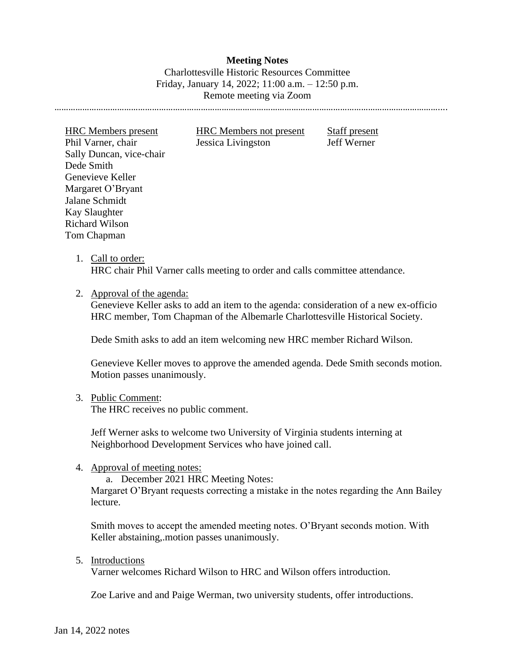# **Meeting Notes** Charlottesville Historic Resources Committee Friday, January 14, 2022; 11:00 a.m. – 12:50 p.m. Remote meeting via Zoom

…………………………………………………………………………………………………………………………………………………....

HRC Members present HRC Members not present Staff present Phil Varner, chair Jessica Livingston Jeff Werner Sally Duncan, vice-chair Dede Smith Genevieve Keller Margaret O'Bryant Jalane Schmidt Kay Slaughter Richard Wilson Tom Chapman

1. Call to order: HRC chair Phil Varner calls meeting to order and calls committee attendance.

2. Approval of the agenda:

Genevieve Keller asks to add an item to the agenda: consideration of a new ex-officio HRC member, Tom Chapman of the Albemarle Charlottesville Historical Society.

Dede Smith asks to add an item welcoming new HRC member Richard Wilson.

Genevieve Keller moves to approve the amended agenda. Dede Smith seconds motion. Motion passes unanimously.

3. Public Comment:

The HRC receives no public comment.

Jeff Werner asks to welcome two University of Virginia students interning at Neighborhood Development Services who have joined call.

4. Approval of meeting notes:

a. December 2021 HRC Meeting Notes:

Margaret O'Bryant requests correcting a mistake in the notes regarding the Ann Bailey lecture.

Smith moves to accept the amended meeting notes. O'Bryant seconds motion. With Keller abstaining,.motion passes unanimously.

5. Introductions

Varner welcomes Richard Wilson to HRC and Wilson offers introduction.

Zoe Larive and and Paige Werman, two university students, offer introductions.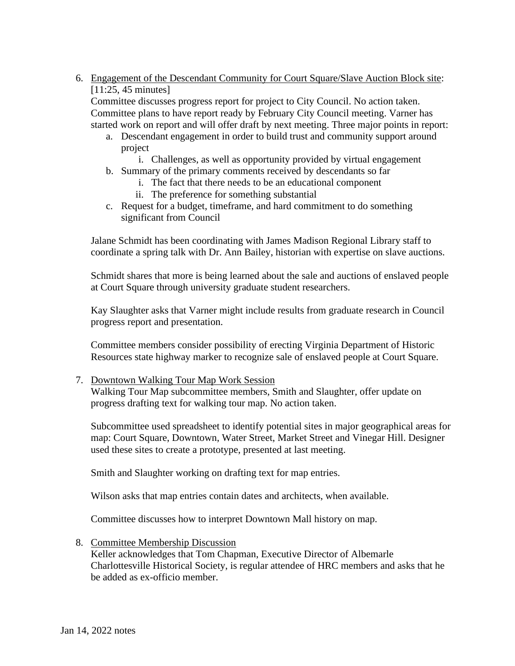6. Engagement of the Descendant Community for Court Square/Slave Auction Block site: [11:25, 45 minutes]

Committee discusses progress report for project to City Council. No action taken. Committee plans to have report ready by February City Council meeting. Varner has started work on report and will offer draft by next meeting. Three major points in report:

- a. Descendant engagement in order to build trust and community support around project
	- i. Challenges, as well as opportunity provided by virtual engagement
- b. Summary of the primary comments received by descendants so far
	- i. The fact that there needs to be an educational component
	- ii. The preference for something substantial
- c. Request for a budget, timeframe, and hard commitment to do something significant from Council

Jalane Schmidt has been coordinating with James Madison Regional Library staff to coordinate a spring talk with Dr. Ann Bailey, historian with expertise on slave auctions.

Schmidt shares that more is being learned about the sale and auctions of enslaved people at Court Square through university graduate student researchers.

Kay Slaughter asks that Varner might include results from graduate research in Council progress report and presentation.

Committee members consider possibility of erecting Virginia Department of Historic Resources state highway marker to recognize sale of enslaved people at Court Square.

7. Downtown Walking Tour Map Work Session

Walking Tour Map subcommittee members, Smith and Slaughter, offer update on progress drafting text for walking tour map. No action taken.

Subcommittee used spreadsheet to identify potential sites in major geographical areas for map: Court Square, Downtown, Water Street, Market Street and Vinegar Hill. Designer used these sites to create a prototype, presented at last meeting.

Smith and Slaughter working on drafting text for map entries.

Wilson asks that map entries contain dates and architects, when available.

Committee discusses how to interpret Downtown Mall history on map.

8. Committee Membership Discussion

Keller acknowledges that Tom Chapman, Executive Director of Albemarle Charlottesville Historical Society, is regular attendee of HRC members and asks that he be added as ex-officio member.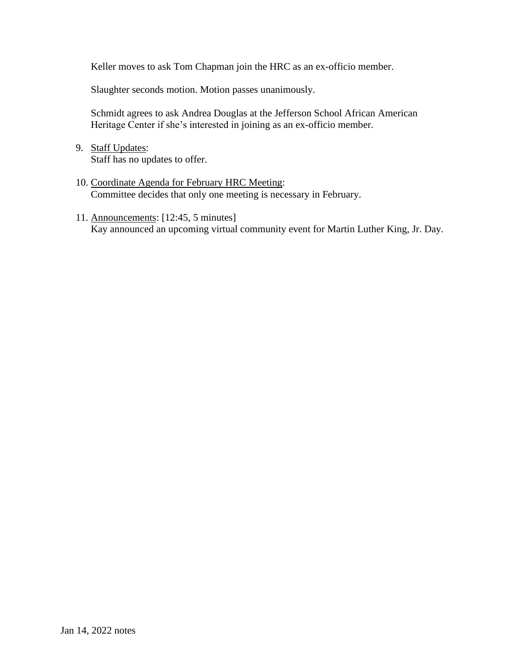Keller moves to ask Tom Chapman join the HRC as an ex-officio member.

Slaughter seconds motion. Motion passes unanimously.

Schmidt agrees to ask Andrea Douglas at the Jefferson School African American Heritage Center if she's interested in joining as an ex-officio member.

- 9. Staff Updates: Staff has no updates to offer.
- 10. Coordinate Agenda for February HRC Meeting: Committee decides that only one meeting is necessary in February.
- 11. Announcements: [12:45, 5 minutes] Kay announced an upcoming virtual community event for Martin Luther King, Jr. Day.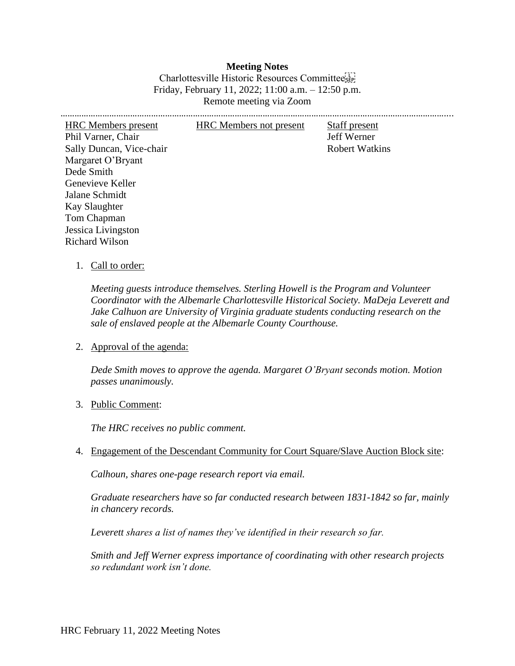**Meeting Notes** Charlottesville Historic Resources Committee Friday, February 11, 2022; 11:00 a.m. – 12:50 p.m. Remote meeting via Zoom

………………………………………………………………………………………………………………………………………………….... HRC Members present HRC Members not present Staff present Phil Varner, Chair Jeff Werner Sally Duncan, Vice-chair Robert Watkins Margaret O'Bryant Dede Smith Genevieve Keller Jalane Schmidt Kay Slaughter Tom Chapman Jessica Livingston Richard Wilson

#### 1. Call to order:

*Meeting guests introduce themselves. Sterling Howell is the Program and Volunteer Coordinator with the Albemarle Charlottesville Historical Society. MaDeja Leverett and Jake Calhuon are University of Virginia graduate students conducting research on the sale of enslaved people at the Albemarle County Courthouse.* 

2. Approval of the agenda:

*Dede Smith moves to approve the agenda. Margaret O'Bryant seconds motion. Motion passes unanimously.*

#### 3. Public Comment:

*The HRC receives no public comment.*

4. Engagement of the Descendant Community for Court Square/Slave Auction Block site:

*Calhoun, shares one-page research report via email.*

*Graduate researchers have so far conducted research between 1831-1842 so far, mainly in chancery records.* 

*Leverett shares a list of names they've identified in their research so far.*

*Smith and Jeff Werner express importance of coordinating with other research projects so redundant work isn't done.*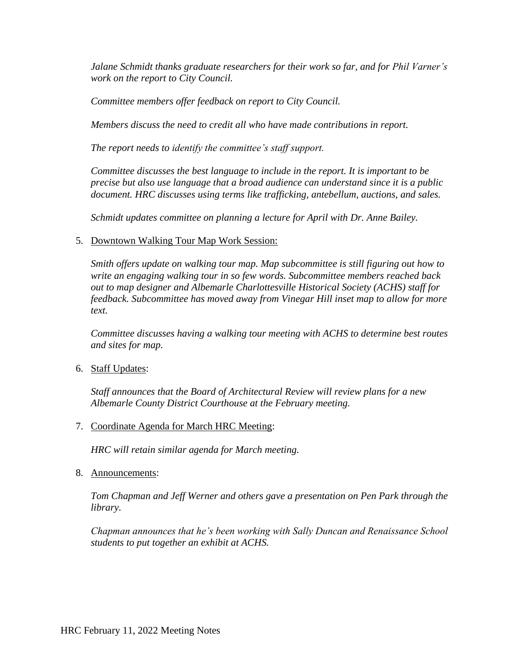*Jalane Schmidt thanks graduate researchers for their work so far, and for Phil Varner's work on the report to City Council.*

*Committee members offer feedback on report to City Council.*

*Members discuss the need to credit all who have made contributions in report.*

*The report needs to identify the committee's staff support.*

*Committee discusses the best language to include in the report. It is important to be precise but also use language that a broad audience can understand since it is a public document. HRC discusses using terms like trafficking, antebellum, auctions, and sales.* 

*Schmidt updates committee on planning a lecture for April with Dr. Anne Bailey.*

5. Downtown Walking Tour Map Work Session:

*Smith offers update on walking tour map. Map subcommittee is still figuring out how to write an engaging walking tour in so few words. Subcommittee members reached back out to map designer and Albemarle Charlottesville Historical Society (ACHS) staff for feedback. Subcommittee has moved away from Vinegar Hill inset map to allow for more text.*

*Committee discusses having a walking tour meeting with ACHS to determine best routes and sites for map.* 

6. Staff Updates:

*Staff announces that the Board of Architectural Review will review plans for a new Albemarle County District Courthouse at the February meeting.* 

7. Coordinate Agenda for March HRC Meeting:

*HRC will retain similar agenda for March meeting.*

8. Announcements:

*Tom Chapman and Jeff Werner and others gave a presentation on Pen Park through the library.*

*Chapman announces that he's been working with Sally Duncan and Renaissance School students to put together an exhibit at ACHS.*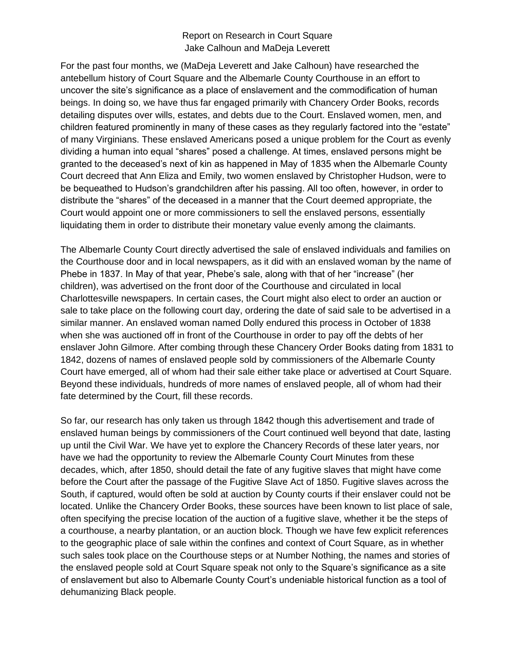### Report on Research in Court Square Jake Calhoun and MaDeja Leverett

For the past four months, we (MaDeja Leverett and Jake Calhoun) have researched the antebellum history of Court Square and the Albemarle County Courthouse in an effort to uncover the site's significance as a place of enslavement and the commodification of human beings. In doing so, we have thus far engaged primarily with Chancery Order Books, records detailing disputes over wills, estates, and debts due to the Court. Enslaved women, men, and children featured prominently in many of these cases as they regularly factored into the "estate" of many Virginians. These enslaved Americans posed a unique problem for the Court as evenly dividing a human into equal "shares" posed a challenge. At times, enslaved persons might be granted to the deceased's next of kin as happened in May of 1835 when the Albemarle County Court decreed that Ann Eliza and Emily, two women enslaved by Christopher Hudson, were to be bequeathed to Hudson's grandchildren after his passing. All too often, however, in order to distribute the "shares" of the deceased in a manner that the Court deemed appropriate, the Court would appoint one or more commissioners to sell the enslaved persons, essentially liquidating them in order to distribute their monetary value evenly among the claimants.

The Albemarle County Court directly advertised the sale of enslaved individuals and families on the Courthouse door and in local newspapers, as it did with an enslaved woman by the name of Phebe in 1837. In May of that year, Phebe's sale, along with that of her "increase" (her children), was advertised on the front door of the Courthouse and circulated in local Charlottesville newspapers. In certain cases, the Court might also elect to order an auction or sale to take place on the following court day, ordering the date of said sale to be advertised in a similar manner. An enslaved woman named Dolly endured this process in October of 1838 when she was auctioned off in front of the Courthouse in order to pay off the debts of her enslaver John Gilmore. After combing through these Chancery Order Books dating from 1831 to 1842, dozens of names of enslaved people sold by commissioners of the Albemarle County Court have emerged, all of whom had their sale either take place or advertised at Court Square. Beyond these individuals, hundreds of more names of enslaved people, all of whom had their fate determined by the Court, fill these records.

So far, our research has only taken us through 1842 though this advertisement and trade of enslaved human beings by commissioners of the Court continued well beyond that date, lasting up until the Civil War. We have yet to explore the Chancery Records of these later years, nor have we had the opportunity to review the Albemarle County Court Minutes from these decades, which, after 1850, should detail the fate of any fugitive slaves that might have come before the Court after the passage of the Fugitive Slave Act of 1850. Fugitive slaves across the South, if captured, would often be sold at auction by County courts if their enslaver could not be located. Unlike the Chancery Order Books, these sources have been known to list place of sale, often specifying the precise location of the auction of a fugitive slave, whether it be the steps of a courthouse, a nearby plantation, or an auction block. Though we have few explicit references to the geographic place of sale within the confines and context of Court Square, as in whether such sales took place on the Courthouse steps or at Number Nothing, the names and stories of the enslaved people sold at Court Square speak not only to the Square's significance as a site of enslavement but also to Albemarle County Court's undeniable historical function as a tool of dehumanizing Black people.